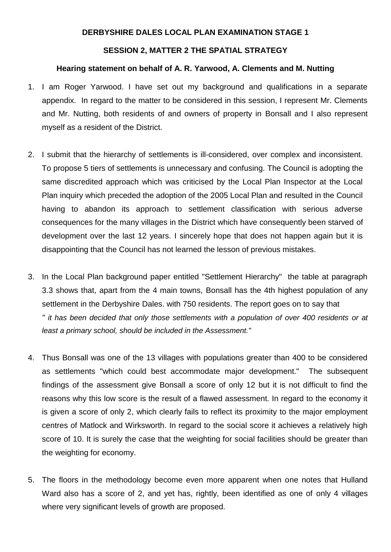## **DERBYSHIRE DALES LOCAL PLAN EXAMINATION STAGE 1**

## **SESSION 2, MATTER 2 THE SPATIAL STRATEGY**

#### **Hearing statement on behalf of A. R. Yarwood, A. Clements and M. Nutting**

- 1. I am Roger Yarwood. I have set out my background and qualifications in a separate appendix. In regard to the matter to be considered in this session, I represent Mr. Clements and Mr. Nutting, both residents of and owners of property in Bonsall and I also represent myself as a resident of the District.
- 2. I submit that the hierarchy of settlements is ill-considered, over complex and inconsistent. To propose 5 tiers of settlements is unnecessary and confusing. The Council is adopting the same discredited approach which was criticised by the Local Plan Inspector at the Local Plan inquiry which preceded the adoption of the 2005 Local Plan and resulted in the Council having to abandon its approach to settlement classification with serious adverse consequences for the many villages in the District which have consequently been starved of development over the last 12 years. I sincerely hope that does not happen again but it is disappointing that the Council has not learned the lesson of previous mistakes.
- 3. In the Local Plan background paper entitled "Settlement Hierarchy" the table at paragraph 3.3 shows that, apart from the 4 main towns, Bonsall has the 4th highest population of any settlement in the Derbyshire Dales. with 750 residents. The report goes on to say that *" it has been decided that only those settlements with a population of over 400 residents or at least a primary school, should be included in the Assessment."*
- 4. Thus Bonsall was one of the 13 villages with populations greater than 400 to be considered as settlements "which could best accommodate major development." The subsequent findings of the assessment give Bonsall a score of only 12 but it is not difficult to find the reasons why this low score is the result of a flawed assessment. In regard to the economy it is given a score of only 2, which clearly fails to reflect its proximity to the major employment centres of Matlock and Wirksworth. In regard to the social score it achieves a relatively high score of 10. It is surely the case that the weighting for social facilities should be greater than the weighting for economy.
- 5. The floors in the methodology become even more apparent when one notes that Hulland Ward also has a score of 2, and yet has, rightly, been identified as one of only 4 villages where very significant levels of growth are proposed.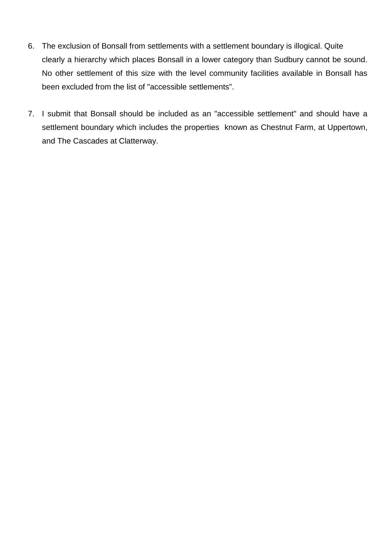- 6. The exclusion of Bonsall from settlements with a settlement boundary is illogical. Quite clearly a hierarchy which places Bonsall in a lower category than Sudbury cannot be sound. No other settlement of this size with the level community facilities available in Bonsall has been excluded from the list of "accessible settlements".
- 7. I submit that Bonsall should be included as an "accessible settlement" and should have a settlement boundary which includes the properties known as Chestnut Farm, at Uppertown, and The Cascades at Clatterway.